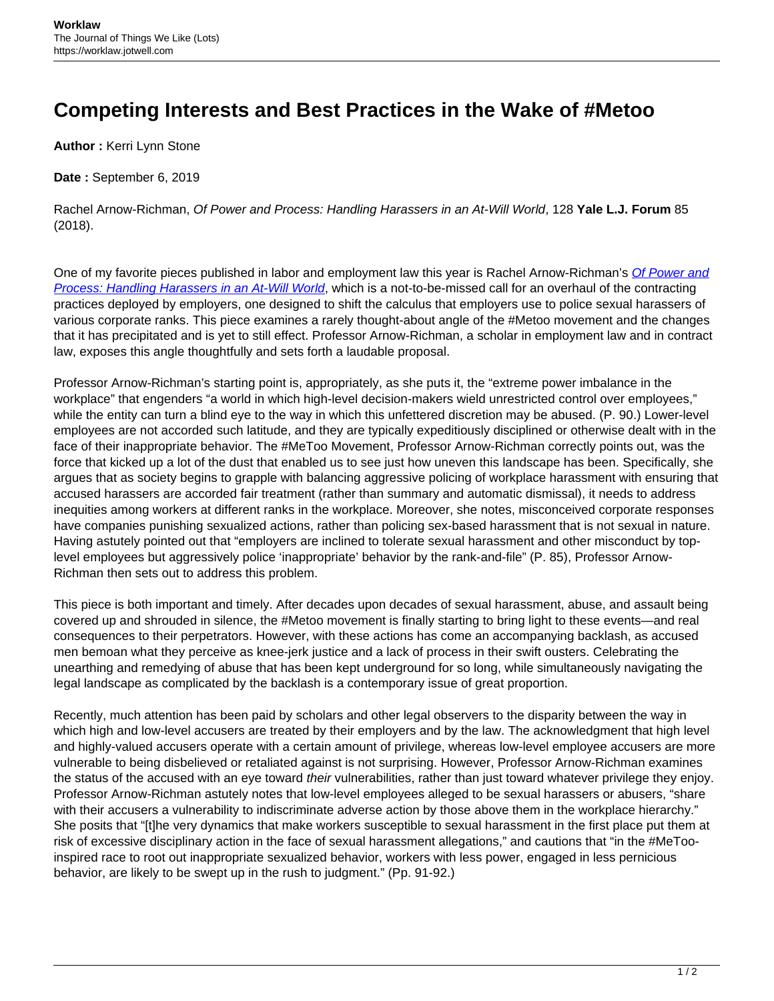## **Competing Interests and Best Practices in the Wake of #Metoo**

**Author :** Kerri Lynn Stone

**Date :** September 6, 2019

Rachel Arnow-Richman, Of Power and Process: Handling Harassers in an At-Will World, 128 **Yale L.J. Forum** 85 (2018).

One of my favorite pieces published in labor and employment law this year is Rachel Arnow-Richman's [Of Power and](https://www.yalelawjournal.org/forum/of-power-and-process) [Process: Handling Harassers in an At-Will World](https://www.yalelawjournal.org/forum/of-power-and-process), which is a not-to-be-missed call for an overhaul of the contracting practices deployed by employers, one designed to shift the calculus that employers use to police sexual harassers of various corporate ranks. This piece examines a rarely thought-about angle of the #Metoo movement and the changes that it has precipitated and is yet to still effect. Professor Arnow-Richman, a scholar in employment law and in contract law, exposes this angle thoughtfully and sets forth a laudable proposal.

Professor Arnow-Richman's starting point is, appropriately, as she puts it, the "extreme power imbalance in the workplace" that engenders "a world in which high-level decision-makers wield unrestricted control over employees," while the entity can turn a blind eye to the way in which this unfettered discretion may be abused. (P. 90.) Lower-level employees are not accorded such latitude, and they are typically expeditiously disciplined or otherwise dealt with in the face of their inappropriate behavior. The #MeToo Movement, Professor Arnow-Richman correctly points out, was the force that kicked up a lot of the dust that enabled us to see just how uneven this landscape has been. Specifically, she argues that as society begins to grapple with balancing aggressive policing of workplace harassment with ensuring that accused harassers are accorded fair treatment (rather than summary and automatic dismissal), it needs to address inequities among workers at different ranks in the workplace. Moreover, she notes, misconceived corporate responses have companies punishing sexualized actions, rather than policing sex-based harassment that is not sexual in nature. Having astutely pointed out that "employers are inclined to tolerate sexual harassment and other misconduct by toplevel employees but aggressively police 'inappropriate' behavior by the rank-and-file" (P. 85), Professor Arnow-Richman then sets out to address this problem.

This piece is both important and timely. After decades upon decades of sexual harassment, abuse, and assault being covered up and shrouded in silence, the #Metoo movement is finally starting to bring light to these events—and real consequences to their perpetrators. However, with these actions has come an accompanying backlash, as accused men bemoan what they perceive as knee-jerk justice and a lack of process in their swift ousters. Celebrating the unearthing and remedying of abuse that has been kept underground for so long, while simultaneously navigating the legal landscape as complicated by the backlash is a contemporary issue of great proportion.

Recently, much attention has been paid by scholars and other legal observers to the disparity between the way in which high and low-level accusers are treated by their employers and by the law. The acknowledgment that high level and highly-valued accusers operate with a certain amount of privilege, whereas low-level employee accusers are more vulnerable to being disbelieved or retaliated against is not surprising. However, Professor Arnow-Richman examines the status of the accused with an eye toward their vulnerabilities, rather than just toward whatever privilege they enjoy. Professor Arnow-Richman astutely notes that low-level employees alleged to be sexual harassers or abusers, "share with their accusers a vulnerability to indiscriminate adverse action by those above them in the workplace hierarchy." She posits that "[t]he very dynamics that make workers susceptible to sexual harassment in the first place put them at risk of excessive disciplinary action in the face of sexual harassment allegations," and cautions that "in the #MeTooinspired race to root out inappropriate sexualized behavior, workers with less power, engaged in less pernicious behavior, are likely to be swept up in the rush to judgment." (Pp. 91-92.)